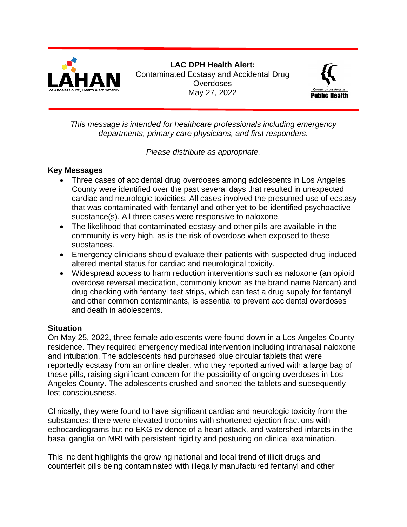

**LAC DPH Health Alert:** Contaminated Ecstasy and Accidental Drug **Overdoses** May 27, 2022



*This message is intended for healthcare professionals including emergency departments, primary care physicians, and first responders.*

*Please distribute as appropriate.*

#### **Key Messages**

- Three cases of accidental drug overdoses among adolescents in Los Angeles County were identified over the past several days that resulted in unexpected cardiac and neurologic toxicities. All cases involved the presumed use of ecstasy that was contaminated with fentanyl and other yet-to-be-identified psychoactive substance(s). All three cases were responsive to naloxone.
- The likelihood that contaminated ecstasy and other pills are available in the community is very high, as is the risk of overdose when exposed to these substances.
- Emergency clinicians should evaluate their patients with suspected drug-induced altered mental status for cardiac and neurological toxicity.
- Widespread access to harm reduction interventions such as naloxone (an opioid overdose reversal medication, commonly known as the brand name Narcan) and drug checking with fentanyl test strips, which can test a drug supply for fentanyl and other common contaminants, is essential to prevent accidental overdoses and death in adolescents.

### **Situation**

On May 25, 2022, three female adolescents were found down in a Los Angeles County residence. They required emergency medical intervention including intranasal naloxone and intubation. The adolescents had purchased blue circular tablets that were reportedly ecstasy from an online dealer, who they reported arrived with a large bag of these pills, raising significant concern for the possibility of ongoing overdoses in Los Angeles County. The adolescents crushed and snorted the tablets and subsequently lost consciousness.

Clinically, they were found to have significant cardiac and neurologic toxicity from the substances: there were elevated troponins with shortened ejection fractions with echocardiograms but no EKG evidence of a heart attack, and watershed infarcts in the basal ganglia on MRI with persistent rigidity and posturing on clinical examination.

This incident highlights the growing national and local trend of illicit drugs and counterfeit pills being contaminated with illegally manufactured fentanyl and other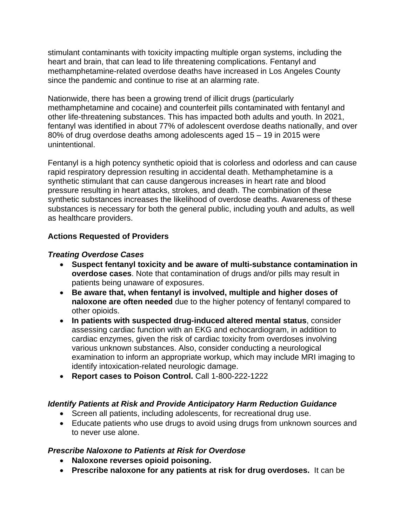stimulant contaminants with toxicity impacting multiple organ systems, including the heart and brain, that can lead to life threatening complications. Fentanyl and methamphetamine-related overdose deaths have increased in Los Angeles County since the pandemic and continue to rise at an alarming rate.

Nationwide, there has been a growing trend of illicit drugs (particularly methamphetamine and cocaine) and counterfeit pills contaminated with fentanyl and other life-threatening substances. This has impacted both adults and youth. In 2021, fentanyl was identified in about 77% of adolescent overdose deaths nationally, and over 80% of drug overdose deaths among adolescents aged 15 – 19 in 2015 were unintentional.

Fentanyl is a high potency synthetic opioid that is colorless and odorless and can cause rapid respiratory depression resulting in accidental death. Methamphetamine is a synthetic stimulant that can cause dangerous increases in heart rate and blood pressure resulting in heart attacks, strokes, and death. The combination of these synthetic substances increases the likelihood of overdose deaths. Awareness of these substances is necessary for both the general public, including youth and adults, as well as healthcare providers.

### **Actions Requested of Providers**

#### *Treating Overdose Cases*

- **Suspect fentanyl toxicity and be aware of multi-substance contamination in overdose cases**. Note that contamination of drugs and/or pills may result in patients being unaware of exposures.
- **Be aware that, when fentanyl is involved, multiple and higher doses of naloxone are often needed** due to the higher potency of fentanyl compared to other opioids.
- **In patients with suspected drug-induced altered mental status**, consider assessing cardiac function with an EKG and echocardiogram, in addition to cardiac enzymes, given the risk of cardiac toxicity from overdoses involving various unknown substances. Also, consider conducting a neurological examination to inform an appropriate workup, which may include MRI imaging to identify intoxication-related neurologic damage.
- **Report cases to Poison Control.** Call 1-800-222-1222

#### *Identify Patients at Risk and Provide Anticipatory Harm Reduction Guidance*

- Screen all patients, including adolescents, for recreational drug use.
- Educate patients who use drugs to avoid using drugs from unknown sources and to never use alone.

#### *Prescribe Naloxone to Patients at Risk for Overdose*

- **Naloxone reverses opioid poisoning.**
- **Prescribe naloxone for any patients at risk for drug overdoses.** It can be